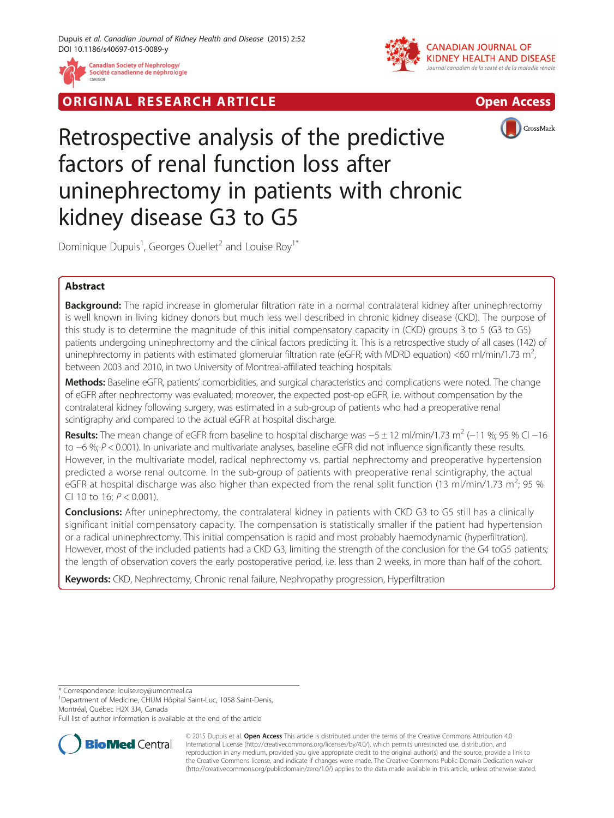

**Canadian Society of Nephrology/** Société canadienne de néphrologie







# Retrospective analysis of the predictive factors of renal function loss after uninephrectomy in patients with chronic kidney disease G3 to G5

Dominique Dupuis<sup>1</sup>, Georges Ouellet<sup>2</sup> and Louise Roy<sup>1\*</sup>

## Abstract

**Background:** The rapid increase in glomerular filtration rate in a normal contralateral kidney after uninephrectomy is well known in living kidney donors but much less well described in chronic kidney disease (CKD). The purpose of this study is to determine the magnitude of this initial compensatory capacity in (CKD) groups 3 to 5 (G3 to G5) patients undergoing uninephrectomy and the clinical factors predicting it. This is a retrospective study of all cases (142) of uninephrectomy in patients with estimated glomerular filtration rate (eGFR; with MDRD equation) <60 ml/min/1.73 m<sup>2</sup>, , between 2003 and 2010, in two University of Montreal-affiliated teaching hospitals.

Methods: Baseline eGFR, patients' comorbidities, and surgical characteristics and complications were noted. The change of eGFR after nephrectomy was evaluated; moreover, the expected post-op eGFR, i.e. without compensation by the contralateral kidney following surgery, was estimated in a sub-group of patients who had a preoperative renal scintigraphy and compared to the actual eGFR at hospital discharge.

**Results:** The mean change of eGFR from baseline to hospital discharge was  $-5 \pm 12$  ml/min/1.73 m<sup>2</sup> (−11 %; 95 % CI −16 to −6 %; P < 0.001). In univariate and multivariate analyses, baseline eGFR did not influence significantly these results. However, in the multivariate model, radical nephrectomy vs. partial nephrectomy and preoperative hypertension predicted a worse renal outcome. In the sub-group of patients with preoperative renal scintigraphy, the actual eGFR at hospital discharge was also higher than expected from the renal split function (13 ml/min/1.73 m<sup>2</sup>; 95 % CI 10 to 16;  $P < 0.001$ ).

**Conclusions:** After uninephrectomy, the contralateral kidney in patients with CKD G3 to G5 still has a clinically significant initial compensatory capacity. The compensation is statistically smaller if the patient had hypertension or a radical uninephrectomy. This initial compensation is rapid and most probably haemodynamic (hyperfiltration). However, most of the included patients had a CKD G3, limiting the strength of the conclusion for the G4 toG5 patients; the length of observation covers the early postoperative period, i.e. less than 2 weeks, in more than half of the cohort.

Keywords: CKD, Nephrectomy, Chronic renal failure, Nephropathy progression, Hyperfiltration

\* Correspondence: [louise.roy@umontreal.ca](mailto:louise.roy@umontreal.ca) <sup>1</sup>

<sup>1</sup> Department of Medicine, CHUM Hôpital Saint-Luc, 1058 Saint-Denis, Montréal, Québec H2X 3J4, Canada

Full list of author information is available at the end of the article



© 2015 Dupuis et al. Open Access This article is distributed under the terms of the Creative Commons Attribution 4.0 International License [\(http://creativecommons.org/licenses/by/4.0/](http://creativecommons.org/licenses/by/4.0/)), which permits unrestricted use, distribution, and reproduction in any medium, provided you give appropriate credit to the original author(s) and the source, provide a link to the Creative Commons license, and indicate if changes were made. The Creative Commons Public Domain Dedication waiver [\(http://creativecommons.org/publicdomain/zero/1.0/](http://creativecommons.org/publicdomain/zero/1.0/)) applies to the data made available in this article, unless otherwise stated.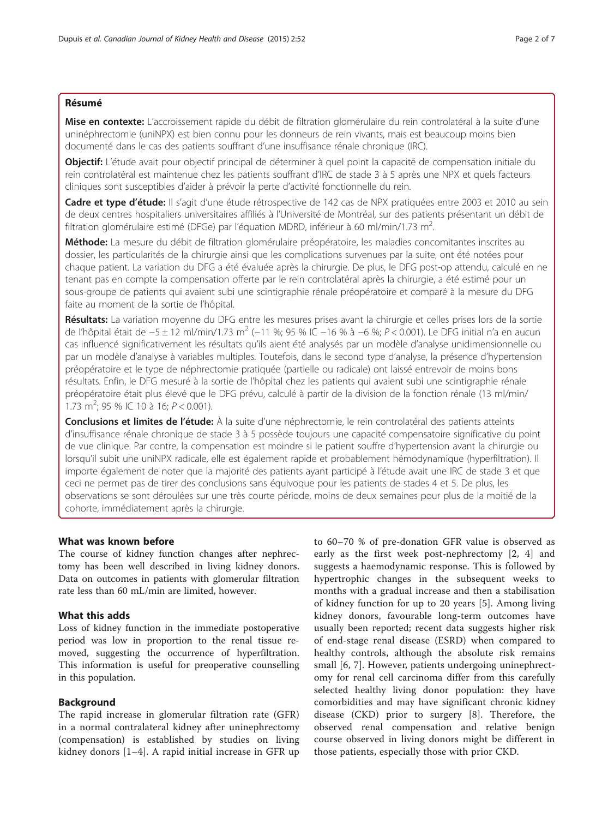## Résumé

Mise en contexte: L'accroissement rapide du débit de filtration glomérulaire du rein controlatéral à la suite d'une uninéphrectomie (uniNPX) est bien connu pour les donneurs de rein vivants, mais est beaucoup moins bien documenté dans le cas des patients souffrant d'une insuffisance rénale chronique (IRC).

Objectif: L'étude avait pour objectif principal de déterminer à quel point la capacité de compensation initiale du rein controlatéral est maintenue chez les patients souffrant d'IRC de stade 3 à 5 après une NPX et quels facteurs cliniques sont susceptibles d'aider à prévoir la perte d'activité fonctionnelle du rein.

Cadre et type d'étude: Il s'agit d'une étude rétrospective de 142 cas de NPX pratiquées entre 2003 et 2010 au sein de deux centres hospitaliers universitaires affiliés à l'Université de Montréal, sur des patients présentant un débit de filtration glomérulaire estimé (DFGe) par l'équation MDRD, inférieur à 60 ml/min/1.73 m<sup>2</sup>. .

Méthode: La mesure du débit de filtration glomérulaire préopératoire, les maladies concomitantes inscrites au dossier, les particularités de la chirurgie ainsi que les complications survenues par la suite, ont été notées pour chaque patient. La variation du DFG a été évaluée après la chirurgie. De plus, le DFG post-op attendu, calculé en ne tenant pas en compte la compensation offerte par le rein controlatéral après la chirurgie, a été estimé pour un sous-groupe de patients qui avaient subi une scintigraphie rénale préopératoire et comparé à la mesure du DFG faite au moment de la sortie de l'hôpital.

Résultats: La variation moyenne du DFG entre les mesures prises avant la chirurgie et celles prises lors de la sortie de l'hôpital était de −5 ± 12 ml/min/1.73 m<sup>2</sup> (−11 %; 95 % IC −16 % à −6 %; P < 0.001). Le DFG initial n'a en aucun cas influencé significativement les résultats qu'ils aient été analysés par un modèle d'analyse unidimensionnelle ou par un modèle d'analyse à variables multiples. Toutefois, dans le second type d'analyse, la présence d'hypertension préopératoire et le type de néphrectomie pratiquée (partielle ou radicale) ont laissé entrevoir de moins bons résultats. Enfin, le DFG mesuré à la sortie de l'hôpital chez les patients qui avaient subi une scintigraphie rénale préopératoire était plus élevé que le DFG prévu, calculé à partir de la division de la fonction rénale (13 ml/min/ 1.73 m<sup>2</sup>; 95 % IC 10 à 16;  $P < 0.001$ ).

Conclusions et limites de l'étude: À la suite d'une néphrectomie, le rein controlatéral des patients atteints d'insuffisance rénale chronique de stade 3 à 5 possède toujours une capacité compensatoire significative du point de vue clinique. Par contre, la compensation est moindre si le patient souffre d'hypertension avant la chirurgie ou lorsqu'il subit une uniNPX radicale, elle est également rapide et probablement hémodynamique (hyperfiltration). Il importe également de noter que la majorité des patients ayant participé à l'étude avait une IRC de stade 3 et que ceci ne permet pas de tirer des conclusions sans équivoque pour les patients de stades 4 et 5. De plus, les observations se sont déroulées sur une très courte période, moins de deux semaines pour plus de la moitié de la cohorte, immédiatement après la chirurgie.

## What was known before

The course of kidney function changes after nephrectomy has been well described in living kidney donors. Data on outcomes in patients with glomerular filtration rate less than 60 mL/min are limited, however.

## What this adds

Loss of kidney function in the immediate postoperative period was low in proportion to the renal tissue removed, suggesting the occurrence of hyperfiltration. This information is useful for preoperative counselling in this population.

## Background

The rapid increase in glomerular filtration rate (GFR) in a normal contralateral kidney after uninephrectomy (compensation) is established by studies on living kidney donors [[1](#page-6-0)–[4\]](#page-6-0). A rapid initial increase in GFR up

to 60–70 % of pre-donation GFR value is observed as early as the first week post-nephrectomy [[2, 4](#page-6-0)] and suggests a haemodynamic response. This is followed by hypertrophic changes in the subsequent weeks to months with a gradual increase and then a stabilisation of kidney function for up to 20 years [[5\]](#page-6-0). Among living kidney donors, favourable long-term outcomes have usually been reported; recent data suggests higher risk of end-stage renal disease (ESRD) when compared to healthy controls, although the absolute risk remains small [[6, 7](#page-6-0)]. However, patients undergoing uninephrectomy for renal cell carcinoma differ from this carefully selected healthy living donor population: they have comorbidities and may have significant chronic kidney disease (CKD) prior to surgery [[8](#page-6-0)]. Therefore, the observed renal compensation and relative benign course observed in living donors might be different in those patients, especially those with prior CKD.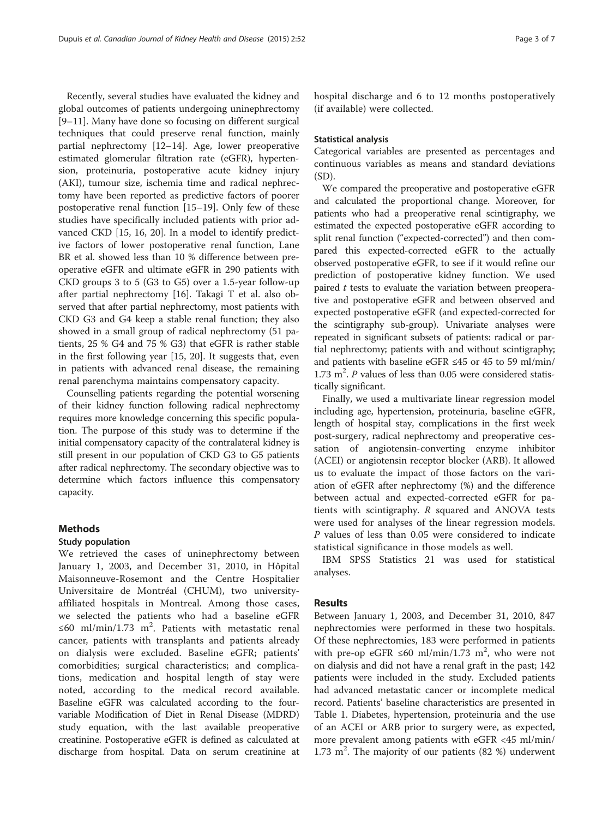Recently, several studies have evaluated the kidney and global outcomes of patients undergoing uninephrectomy [[9](#page-6-0)–[11\]](#page-6-0). Many have done so focusing on different surgical techniques that could preserve renal function, mainly partial nephrectomy [\[12](#page-6-0)–[14\]](#page-6-0). Age, lower preoperative estimated glomerular filtration rate (eGFR), hypertension, proteinuria, postoperative acute kidney injury (AKI), tumour size, ischemia time and radical nephrectomy have been reported as predictive factors of poorer postoperative renal function [[15](#page-6-0)–[19](#page-6-0)]. Only few of these studies have specifically included patients with prior advanced CKD [\[15](#page-6-0), [16](#page-6-0), [20\]](#page-6-0). In a model to identify predictive factors of lower postoperative renal function, Lane BR et al. showed less than 10 % difference between preoperative eGFR and ultimate eGFR in 290 patients with CKD groups 3 to 5 (G3 to G5) over a 1.5-year follow-up after partial nephrectomy [[16\]](#page-6-0). Takagi T et al. also observed that after partial nephrectomy, most patients with CKD G3 and G4 keep a stable renal function; they also showed in a small group of radical nephrectomy (51 patients, 25 % G4 and 75 % G3) that eGFR is rather stable in the first following year [[15, 20\]](#page-6-0). It suggests that, even in patients with advanced renal disease, the remaining renal parenchyma maintains compensatory capacity.

Counselling patients regarding the potential worsening of their kidney function following radical nephrectomy requires more knowledge concerning this specific population. The purpose of this study was to determine if the initial compensatory capacity of the contralateral kidney is still present in our population of CKD G3 to G5 patients after radical nephrectomy. The secondary objective was to determine which factors influence this compensatory capacity.

## Methods

#### Study population

We retrieved the cases of uninephrectomy between January 1, 2003, and December 31, 2010, in Hôpital Maisonneuve-Rosemont and the Centre Hospitalier Universitaire de Montréal (CHUM), two universityaffiliated hospitals in Montreal. Among those cases, we selected the patients who had a baseline eGFR ≤60 ml/min/1.73 m<sup>2</sup>. Patients with metastatic renal cancer, patients with transplants and patients already on dialysis were excluded. Baseline eGFR; patients' comorbidities; surgical characteristics; and complications, medication and hospital length of stay were noted, according to the medical record available. Baseline eGFR was calculated according to the fourvariable Modification of Diet in Renal Disease (MDRD) study equation, with the last available preoperative creatinine. Postoperative eGFR is defined as calculated at discharge from hospital. Data on serum creatinine at hospital discharge and 6 to 12 months postoperatively (if available) were collected.

#### Statistical analysis

Categorical variables are presented as percentages and continuous variables as means and standard deviations (SD).

We compared the preoperative and postoperative eGFR and calculated the proportional change. Moreover, for patients who had a preoperative renal scintigraphy, we estimated the expected postoperative eGFR according to split renal function ("expected-corrected") and then compared this expected-corrected eGFR to the actually observed postoperative eGFR, to see if it would refine our prediction of postoperative kidney function. We used paired  $t$  tests to evaluate the variation between preoperative and postoperative eGFR and between observed and expected postoperative eGFR (and expected-corrected for the scintigraphy sub-group). Univariate analyses were repeated in significant subsets of patients: radical or partial nephrectomy; patients with and without scintigraphy; and patients with baseline eGFR  $\leq$ 45 or 45 to 59 ml/min/ 1.73  $m^2$ . P values of less than 0.05 were considered statistically significant.

Finally, we used a multivariate linear regression model including age, hypertension, proteinuria, baseline eGFR, length of hospital stay, complications in the first week post-surgery, radical nephrectomy and preoperative cessation of angiotensin-converting enzyme inhibitor (ACEI) or angiotensin receptor blocker (ARB). It allowed us to evaluate the impact of those factors on the variation of eGFR after nephrectomy (%) and the difference between actual and expected-corrected eGFR for patients with scintigraphy. R squared and ANOVA tests were used for analyses of the linear regression models. P values of less than 0.05 were considered to indicate statistical significance in those models as well.

IBM SPSS Statistics 21 was used for statistical analyses.

#### Results

Between January 1, 2003, and December 31, 2010, 847 nephrectomies were performed in these two hospitals. Of these nephrectomies, 183 were performed in patients with pre-op eGFR  $\leq 60 \text{ ml/min}/1.73 \text{ m}^2$ , who were not on dialysis and did not have a renal graft in the past; 142 patients were included in the study. Excluded patients had advanced metastatic cancer or incomplete medical record. Patients' baseline characteristics are presented in Table [1](#page-3-0). Diabetes, hypertension, proteinuria and the use of an ACEI or ARB prior to surgery were, as expected, more prevalent among patients with eGFR <45 ml/min/ 1.73  $m^2$ . The majority of our patients (82 %) underwent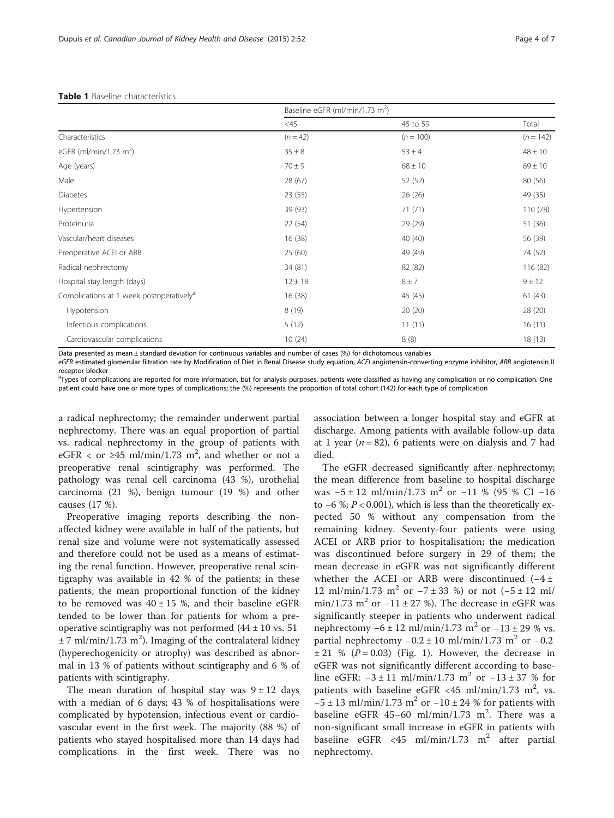#### <span id="page-3-0"></span>Table 1 Baseline characteristics

|                                                      | Baseline eGFR (ml/min/1.73 $m2$ ) |             |             |
|------------------------------------------------------|-----------------------------------|-------------|-------------|
|                                                      | $<$ 45                            | 45 to 59    | Total       |
| Characteristics                                      | $(n = 42)$                        | $(n = 100)$ | $(n = 142)$ |
| eGFR (ml/min/1.73 m <sup>2</sup> )                   | $35 \pm 8$                        | $53 \pm 4$  | $48 \pm 10$ |
| Age (years)                                          | $70 \pm 9$                        | $68 \pm 10$ | $69 \pm 10$ |
| Male                                                 | 28 (67)                           | 52 (52)     | 80 (56)     |
| <b>Diabetes</b>                                      | 23(55)                            | 26(26)      | 49 (35)     |
| Hypertension                                         | 39 (93)                           | 71(71)      | 110 (78)    |
| Proteinuria                                          | 22(54)                            | 29 (29)     | 51 (36)     |
| Vascular/heart diseases                              | 16(38)                            | 40 (40)     | 56 (39)     |
| Preoperative ACEI or ARB                             | 25(60)                            | 49 (49)     | 74 (52)     |
| Radical nephrectomy                                  | 34 (81)                           | 82 (82)     | 116 (82)    |
| Hospital stay length (days)                          | $12 \pm 18$                       | $8 \pm 7$   | 9 ± 12      |
| Complications at 1 week postoperatively <sup>a</sup> | 16(38)                            | 45 (45)     | 61(43)      |
| Hypotension                                          | 8(19)                             | 20(20)      | 28 (20)     |
| Infectious complications                             | 5(12)                             | 11(11)      | 16(11)      |
| Cardiovascular complications                         | 10(24)                            | 8(8)        | 18(13)      |

Data presented as mean ± standard deviation for continuous variables and number of cases (%) for dichotomous variables

eGFR estimated glomerular filtration rate by Modification of Diet in Renal Disease study equation, ACEI angiotensin-converting enzyme inhibitor, ARB angiotensin II receptor blocker

<sup>a</sup>Types of complications are reported for more information, but for analysis purposes, patients were classified as having any complication or no complication. One patient could have one or more types of complications; the (%) represents the proportion of total cohort (142) for each type of complication

a radical nephrectomy; the remainder underwent partial nephrectomy. There was an equal proportion of partial vs. radical nephrectomy in the group of patients with eGFR < or  $\geq$ 45 ml/min/1.73 m<sup>2</sup>, and whether or not a preoperative renal scintigraphy was performed. The pathology was renal cell carcinoma (43 %), urothelial carcinoma (21 %), benign tumour (19 %) and other causes (17 %).

Preoperative imaging reports describing the nonaffected kidney were available in half of the patients, but renal size and volume were not systematically assessed and therefore could not be used as a means of estimating the renal function. However, preoperative renal scintigraphy was available in 42 % of the patients; in these patients, the mean proportional function of the kidney to be removed was  $40 \pm 15$  %, and their baseline eGFR tended to be lower than for patients for whom a preoperative scintigraphy was not performed  $(44 \pm 10 \text{ vs. } 51)$  $\pm$  7 ml/min/1.73 m<sup>2</sup>). Imaging of the contralateral kidney (hyperechogenicity or atrophy) was described as abnormal in 13 % of patients without scintigraphy and 6 % of patients with scintigraphy.

The mean duration of hospital stay was  $9 \pm 12$  days with a median of 6 days; 43 % of hospitalisations were complicated by hypotension, infectious event or cardiovascular event in the first week. The majority (88 %) of patients who stayed hospitalised more than 14 days had complications in the first week. There was no association between a longer hospital stay and eGFR at discharge. Among patients with available follow-up data at 1 year ( $n = 82$ ), 6 patients were on dialysis and 7 had died.

The eGFR decreased significantly after nephrectomy; the mean difference from baseline to hospital discharge was  $-5 \pm 12$  ml/min/1.73 m<sup>2</sup> or  $-11$  % (95 % CI -16 to  $-6$  %;  $P < 0.001$ ), which is less than the theoretically expected 50 % without any compensation from the remaining kidney. Seventy-four patients were using ACEI or ARB prior to hospitalisation; the medication was discontinued before surgery in 29 of them; the mean decrease in eGFR was not significantly different whether the ACEI or ARB were discontinued (−4 ± 12 ml/min/1.73 m<sup>2</sup> or  $-7 \pm 33$  %) or not  $(-5 \pm 12$  ml/ min/1.73 m<sup>2</sup> or  $-11 \pm 27$  %). The decrease in eGFR was significantly steeper in patients who underwent radical nephrectomy  $-6 \pm 12$  ml/min/1.73 m<sup>2</sup> or  $-13 \pm 29$  % vs. partial nephrectomy  $-0.2 \pm 10 \text{ ml/min}/1.73 \text{ m}^2$  or  $-0.2$  $\pm$  21 % ( $P = 0.03$ ) (Fig. [1\)](#page-4-0). However, the decrease in eGFR was not significantly different according to baseline eGFR:  $-3 \pm 11 \text{ ml/min}/1.73 \text{ m}^2$  or  $-13 \pm 37$  % for patients with baseline eGFR <45 ml/min/1.73 m<sup>2</sup>, vs.  $-5 \pm 13$  ml/min/1.73 m<sup>2</sup> or  $-10 \pm 24$  % for patients with baseline eGFR  $45-60$  ml/min/1.73 m<sup>2</sup>. There was a non-significant small increase in eGFR in patients with baseline eGFR <45 ml/min/1.73 m<sup>2</sup> after partial nephrectomy.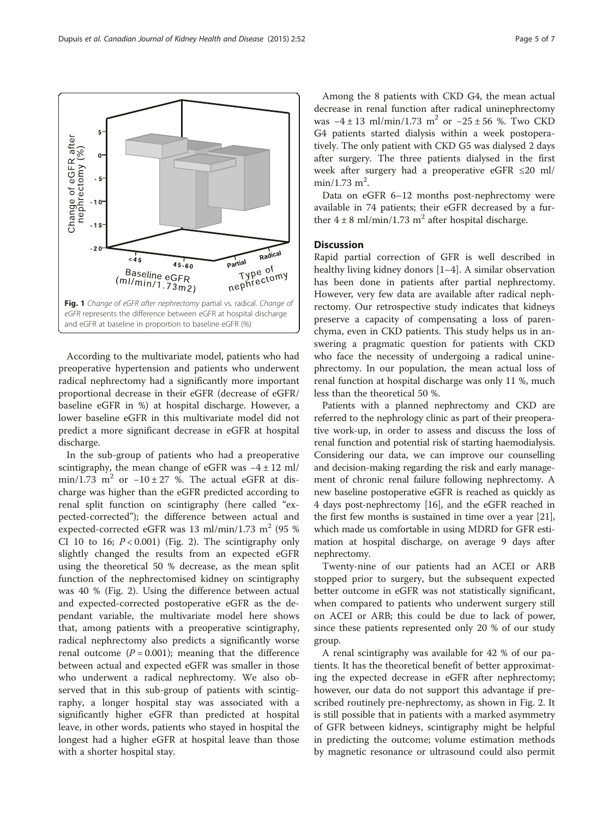<span id="page-4-0"></span>

According to the multivariate model, patients who had preoperative hypertension and patients who underwent radical nephrectomy had a significantly more important proportional decrease in their eGFR (decrease of eGFR/ baseline eGFR in %) at hospital discharge. However, a lower baseline eGFR in this multivariate model did not predict a more significant decrease in eGFR at hospital discharge.

In the sub-group of patients who had a preoperative scintigraphy, the mean change of eGFR was  $-4 \pm 12$  ml/ min/1.73 m<sup>2</sup> or  $-10 \pm 27$  %. The actual eGFR at discharge was higher than the eGFR predicted according to renal split function on scintigraphy (here called "expected-corrected"); the difference between actual and expected-corrected eGFR was 13 ml/min/1.73 m<sup>2</sup> (95 %) CI 10 to 16;  $P < 0.001$ ) (Fig. [2\)](#page-5-0). The scintigraphy only slightly changed the results from an expected eGFR using the theoretical 50 % decrease, as the mean split function of the nephrectomised kidney on scintigraphy was 40 % (Fig. [2\)](#page-5-0). Using the difference between actual and expected-corrected postoperative eGFR as the dependant variable, the multivariate model here shows that, among patients with a preoperative scintigraphy, radical nephrectomy also predicts a significantly worse renal outcome  $(P = 0.001)$ ; meaning that the difference between actual and expected eGFR was smaller in those who underwent a radical nephrectomy. We also observed that in this sub-group of patients with scintigraphy, a longer hospital stay was associated with a significantly higher eGFR than predicted at hospital leave, in other words, patients who stayed in hospital the longest had a higher eGFR at hospital leave than those with a shorter hospital stay.

Among the 8 patients with CKD G4, the mean actual decrease in renal function after radical uninephrectomy was  $-4 \pm 13$  ml/min/1.73 m<sup>2</sup> or  $-25 \pm 56$  %. Two CKD G4 patients started dialysis within a week postoperatively. The only patient with CKD G5 was dialysed 2 days after surgery. The three patients dialysed in the first week after surgery had a preoperative eGFR ≤20 ml/  $min/1.73$  m<sup>2</sup>.

Data on eGFR 6–12 months post-nephrectomy were available in 74 patients; their eGFR decreased by a further  $4 \pm 8$  ml/min/1.73 m<sup>2</sup> after hospital discharge.

## **Discussion**

Rapid partial correction of GFR is well described in healthy living kidney donors [[1](#page-6-0)–[4](#page-6-0)]. A similar observation has been done in patients after partial nephrectomy. However, very few data are available after radical nephrectomy. Our retrospective study indicates that kidneys preserve a capacity of compensating a loss of parenchyma, even in CKD patients. This study helps us in answering a pragmatic question for patients with CKD who face the necessity of undergoing a radical uninephrectomy. In our population, the mean actual loss of renal function at hospital discharge was only 11 %, much less than the theoretical 50 %.

Patients with a planned nephrectomy and CKD are referred to the nephrology clinic as part of their preoperative work-up, in order to assess and discuss the loss of renal function and potential risk of starting haemodialysis. Considering our data, we can improve our counselling and decision-making regarding the risk and early management of chronic renal failure following nephrectomy. A new baseline postoperative eGFR is reached as quickly as 4 days post-nephrectomy [\[16\]](#page-6-0), and the eGFR reached in the first few months is sustained in time over a year [[21](#page-6-0)], which made us comfortable in using MDRD for GFR estimation at hospital discharge, on average 9 days after nephrectomy.

Twenty-nine of our patients had an ACEI or ARB stopped prior to surgery, but the subsequent expected better outcome in eGFR was not statistically significant, when compared to patients who underwent surgery still on ACEI or ARB; this could be due to lack of power, since these patients represented only 20 % of our study group.

A renal scintigraphy was available for 42 % of our patients. It has the theoretical benefit of better approximating the expected decrease in eGFR after nephrectomy; however, our data do not support this advantage if prescribed routinely pre-nephrectomy, as shown in Fig. [2.](#page-5-0) It is still possible that in patients with a marked asymmetry of GFR between kidneys, scintigraphy might be helpful in predicting the outcome; volume estimation methods by magnetic resonance or ultrasound could also permit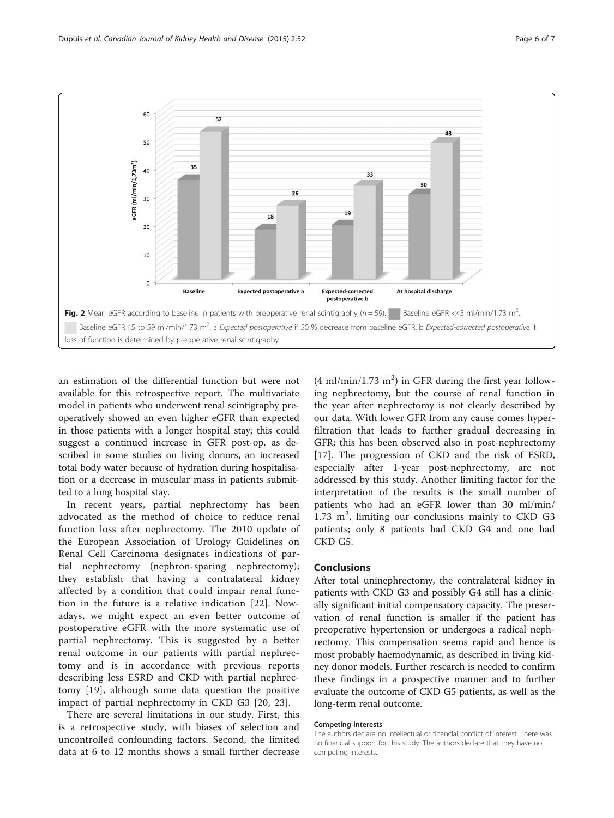<span id="page-5-0"></span>

an estimation of the differential function but were not available for this retrospective report. The multivariate model in patients who underwent renal scintigraphy preoperatively showed an even higher eGFR than expected in those patients with a longer hospital stay; this could suggest a continued increase in GFR post-op, as described in some studies on living donors, an increased total body water because of hydration during hospitalisation or a decrease in muscular mass in patients submitted to a long hospital stay.

In recent years, partial nephrectomy has been advocated as the method of choice to reduce renal function loss after nephrectomy. The 2010 update of the European Association of Urology Guidelines on Renal Cell Carcinoma designates indications of partial nephrectomy (nephron-sparing nephrectomy); they establish that having a contralateral kidney affected by a condition that could impair renal function in the future is a relative indication [[22\]](#page-6-0). Nowadays, we might expect an even better outcome of postoperative eGFR with the more systematic use of partial nephrectomy. This is suggested by a better renal outcome in our patients with partial nephrectomy and is in accordance with previous reports describing less ESRD and CKD with partial nephrectomy [\[19\]](#page-6-0), although some data question the positive impact of partial nephrectomy in CKD G3 [[20](#page-6-0), [23\]](#page-6-0).

There are several limitations in our study. First, this is a retrospective study, with biases of selection and uncontrolled confounding factors. Second, the limited data at 6 to 12 months shows a small further decrease

 $(4 \text{ ml/min}/1.73 \text{ m}^2)$  in GFR during the first year following nephrectomy, but the course of renal function in the year after nephrectomy is not clearly described by our data. With lower GFR from any cause comes hyperfiltration that leads to further gradual decreasing in GFR; this has been observed also in post-nephrectomy [[17](#page-6-0)]. The progression of CKD and the risk of ESRD, especially after 1-year post-nephrectomy, are not addressed by this study. Another limiting factor for the interpretation of the results is the small number of patients who had an eGFR lower than 30 ml/min/  $1.73$  m<sup>2</sup>, limiting our conclusions mainly to CKD G3 patients; only 8 patients had CKD G4 and one had CKD G5.

## Conclusions

After total uninephrectomy, the contralateral kidney in patients with CKD G3 and possibly G4 still has a clinically significant initial compensatory capacity. The preservation of renal function is smaller if the patient has preoperative hypertension or undergoes a radical nephrectomy. This compensation seems rapid and hence is most probably haemodynamic, as described in living kidney donor models. Further research is needed to confirm these findings in a prospective manner and to further evaluate the outcome of CKD G5 patients, as well as the long-term renal outcome.

#### Competing interests

The authors declare no intellectual or financial conflict of interest. There was no financial support for this study. The authors declare that they have no competing interests.